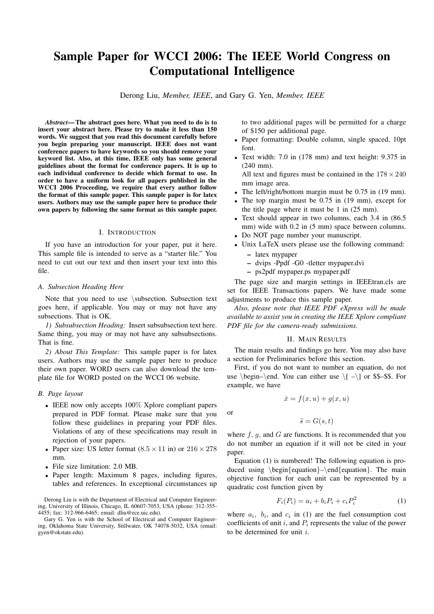# **Sample Paper for WCCI 2006: The IEEE World Congress on Computational Intelligence**

Derong Liu, *Member, IEEE*, and Gary G. Yen, *Member, IEEE*

*Abstract***— The abstract goes here. What you need to do is to insert your abstract here. Please try to make it less than 150 words. We suggest that you read this document carefully before you begin preparing your manuscript. IEEE does not want conference papers to have keywords so you should remove your keyword list. Also, at this time, IEEE only has some general guidelines about the format for conference papers. It is up to each individual conference to decide which format to use. In order to have a uniform look for all papers published in the WCCI 2006 Proceeding, we require that every author follow the format of this sample paper. This sample paper is for latex users. Authors may use the sample paper here to produce their own papers by following the same format as this sample paper.**

#### I. INTRODUCTION

If you have an introduction for your paper, put it here. This sample file is intended to serve as a "starter file." You need to cut out our text and then insert your text into this file.

# *A. Subsection Heading Here*

Note that you need to use *\*subsection. Subsection text goes here, if applicable. You may or may not have any subsections. That is OK.

*1) Subsubsection Heading:* Insert subsubsection text here. Same thing, you may or may not have any subsubsections. That is fine.

*2) About This Template:* This sample paper is for latex users. Authors may use the sample paper here to produce their own paper. WORD users can also download the template file for WORD posted on the WCCI 06 website.

# *B. Page layout*

- *•* IEEE now only accepts 100% Xplore compliant papers prepared in PDF format. Please make sure that you follow these guidelines in preparing your PDF files. Violations of any of these specifications may result in rejection of your papers.
- Paper size: US letter format  $(8.5 \times 11 \text{ in})$  or  $216 \times 278$ mm.
- *•* File size limitation: 2.0 MB.
- *•* Paper length: Maximum 8 pages, including figures, tables and references. In exceptional circumstances up

Derong Liu is with the Department of Electrical and Computer Engineering, University of Illinois, Chicago, IL 60607-7053, USA (phone: 312-355- 4455; fax: 312-966-6465; email: dliu@ece.uic.edu).

Gary G. Yen is with the School of Electrical and Computer Engineering, Oklahoma State University, Stillwater, OK 74078-5032, USA (email: gyen@okstate.edu).

to two additional pages will be permitted for a charge of \$150 per additional page.

- *•* Paper formatting: Double column, single spaced, 10pt font.
- *•* Text width: 7.0 in (178 mm) and text height: 9.375 in (240 mm).

All text and figures must be contained in the 178*×*240 mm image area.

- *•* The left/right/bottom margin must be 0.75 in (19 mm).
- The top margin must be 0.75 in (19 mm), except for the title page where it must be 1 in (25 mm).
- *•* Text should appear in two columns, each 3.4 in (86.5 mm) wide with 0.2 in (5 mm) space between columns.
- *•* Do NOT page number your manuscript.
- *•* Unix LaTeX users please use the following command: **–** latex mypaper
	- **–** dvips -Ppdf -G0 -tletter mypaper.dvi
	- **–** ps2pdf mypaper.ps mypaper.pdf

The page size and margin settings in IEEEtran.cls are set for IEEE Transactions papers. We have made some adjustments to produce this sample paper.

*Also, please note that IEEE PDF eXpress will be made available to assist you in creating the IEEE Xplore compliant PDF file for the camera-ready submissions.*

## II. MAIN RESULTS

The main results and findings go here. You may also have a section for Preliminaries before this section.

First, if you do not want to number an equation, do not use *\*begin–*\*end. You can either use *\*[ –*\*] or \$\$–\$\$. For example, we have

$$
\dot{x} = f(x, u) + g(x, u)
$$

or

$$
\ddot{s} = G(s, t)
$$

where *f, g,* and *G* are functions. It is recommended that you do not number an equation if it will not be cited in your paper.

Equation (1) is numbered! The following equation is produced using *\*begin*{*equation*}*–*\*end*{*equation*}*. The main objective function for each unit can be represented by a quadratic cost function given by

$$
F_i(P_i) = a_i + b_i P_i + c_i P_i^2
$$
 (1)

where  $a_i$ ,  $b_i$ , and  $c_i$  in (1) are the fuel consumption cost coefficients of unit *<sup>i</sup>*, and *<sup>P</sup><sup>i</sup>* represents the value of the power to be determined for unit *i*.